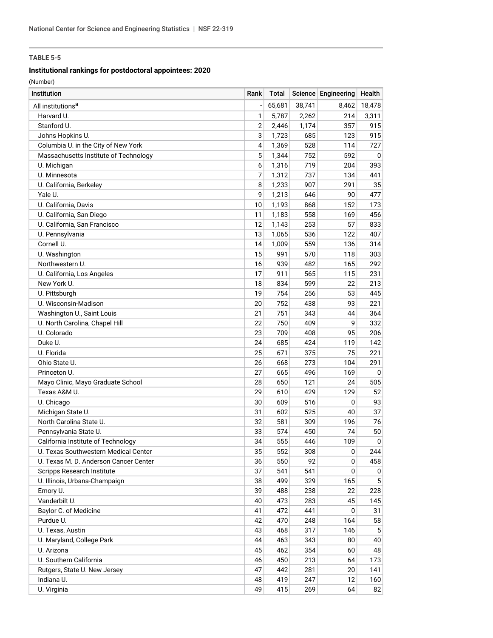## **Institutional rankings for postdoctoral appointees: 2020**

| Institution                           | Rank | Total  |        | Science Engineering | Health      |
|---------------------------------------|------|--------|--------|---------------------|-------------|
| All institutions <sup>a</sup>         |      | 65,681 | 38,741 | 8,462               | 18,478      |
| Harvard U.                            | 1    | 5,787  | 2,262  | 214                 | 3,311       |
| Stanford U.                           | 2    | 2,446  | 1,174  | 357                 | 915         |
| Johns Hopkins U.                      | 3    | 1,723  | 685    | 123                 | 915         |
| Columbia U. in the City of New York   | 4    | 1,369  | 528    | 114                 | 727         |
| Massachusetts Institute of Technology | 5    | 1,344  | 752    | 592                 | 0           |
| U. Michigan                           | 6    | 1,316  | 719    | 204                 | 393         |
| U. Minnesota                          | 7    | 1,312  | 737    | 134                 | 441         |
| U. California, Berkeley               | 8    | 1,233  | 907    | 291                 | 35          |
| Yale U.                               | 9    | 1,213  | 646    | 90                  | 477         |
| U. California, Davis                  | 10   | 1,193  | 868    | 152                 | 173         |
| U. California, San Diego              | 11   | 1,183  | 558    | 169                 | 456         |
| U. California, San Francisco          | 12   | 1,143  | 253    | 57                  | 833         |
| U. Pennsylvania                       | 13   | 1,065  | 536    | 122                 | 407         |
| Cornell U.                            | 14   | 1,009  | 559    | 136                 | 314         |
| U. Washington                         | 15   | 991    | 570    | 118                 | 303         |
| Northwestern U.                       | 16   | 939    | 482    | 165                 | 292         |
| U. California, Los Angeles            | 17   | 911    | 565    | 115                 | 231         |
| New York U.                           | 18   | 834    | 599    | 22                  | 213         |
| U. Pittsburgh                         | 19   | 754    | 256    | 53                  | 445         |
| U. Wisconsin-Madison                  | 20   | 752    | 438    | 93                  | 221         |
| Washington U., Saint Louis            | 21   | 751    | 343    | 44                  | 364         |
| U. North Carolina, Chapel Hill        | 22   | 750    | 409    | 9                   | 332         |
| U. Colorado                           | 23   | 709    | 408    | 95                  | 206         |
| Duke U.                               | 24   | 685    | 424    | 119                 | 142         |
| U. Florida                            | 25   | 671    | 375    | 75                  | 221         |
| Ohio State U.                         | 26   | 668    | 273    | 104                 | 291         |
| Princeton U.                          | 27   | 665    | 496    | 169                 | 0           |
| Mayo Clinic, Mayo Graduate School     | 28   | 650    | 121    | 24                  | 505         |
| Texas A&M U.                          | 29   | 610    | 429    | 129                 | 52          |
| U. Chicago                            | 30   | 609    | 516    | 0                   | 93          |
| Michigan State U.                     | 31   | 602    | 525    | 40                  | 37          |
| North Carolina State U.               | 32   | 581    | 309    | 196                 | 76          |
| Pennsylvania State U.                 | 33   | 574    | 450    | 74                  | 50          |
| California Institute of Technology    | 34   | 555    | 446    | 109                 | $\mathbf 0$ |
| U. Texas Southwestern Medical Center  | 35   | 552    | 308    | 0                   | 244         |
| U. Texas M. D. Anderson Cancer Center | 36   | 550    | 92     | 0                   | 458         |
| Scripps Research Institute            | 37   | 541    | 541    | 0                   | 0           |
| U. Illinois, Urbana-Champaign         | 38   | 499    | 329    | 165                 | 5           |
| Emory U.                              | 39   | 488    | 238    | 22                  | 228         |
| Vanderbilt U.                         | 40   | 473    | 283    | 45                  | 145         |
| Baylor C. of Medicine                 | 41   | 472    | 441    | 0                   | 31          |
| Purdue U.                             | 42   | 470    | 248    | 164                 | 58          |
| U. Texas, Austin                      | 43   | 468    | 317    | 146                 | 5           |
| U. Maryland, College Park             | 44   | 463    | 343    | 80                  | 40          |
| U. Arizona                            | 45   | 462    | 354    | 60                  | 48          |
| U. Southern California                | 46   | 450    | 213    | 64                  | 173         |
| Rutgers, State U. New Jersey          | 47   | 442    | 281    | 20                  | 141         |
| Indiana U.                            | 48   | 419    | 247    | 12                  | 160         |
| U. Virginia                           | 49   | 415    | 269    | 64                  | 82          |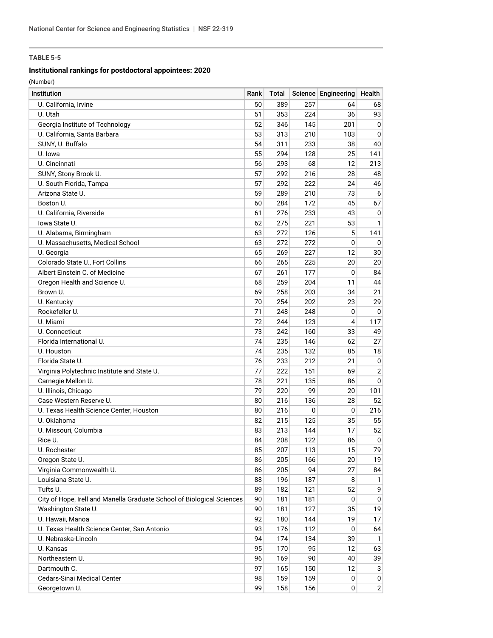## **Institutional rankings for postdoctoral appointees: 2020**

| <b>Institution</b>                                                     | Rank | Total |          | Science Engineering | Health         |
|------------------------------------------------------------------------|------|-------|----------|---------------------|----------------|
| U. California, Irvine                                                  | 50   | 389   | 257      | 64                  | 68             |
| U. Utah                                                                | 51   | 353   | 224      | 36                  | 93             |
| Georgia Institute of Technology                                        | 52   | 346   | 145      | 201                 | $\mathbf 0$    |
| U. California, Santa Barbara                                           | 53   | 313   | 210      | 103                 | 0              |
| SUNY, U. Buffalo                                                       | 54   | 311   | 233      | 38                  | 40             |
| U. Iowa                                                                | 55   | 294   | 128      | 25                  | 141            |
| U. Cincinnati                                                          | 56   | 293   | 68       | 12                  | 213            |
| SUNY, Stony Brook U.                                                   | 57   | 292   | 216      | 28                  | 48             |
| U. South Florida, Tampa                                                | 57   | 292   | 222      | 24                  | 46             |
| Arizona State U.                                                       | 59   | 289   | 210      | 73                  | 6              |
| Boston U.                                                              | 60   | 284   | 172      | 45                  | 67             |
| U. California, Riverside                                               | 61   | 276   | 233      | 43                  | 0              |
| lowa State U.                                                          | 62   | 275   | 221      | 53                  | 1              |
| U. Alabama, Birmingham                                                 | 63   | 272   | 126      | 5                   | 141            |
| U. Massachusetts, Medical School                                       | 63   | 272   | 272      | 0                   | 0              |
| U. Georgia                                                             | 65   | 269   | 227      | 12                  | 30             |
| Colorado State U., Fort Collins                                        | 66   | 265   | 225      | 20                  | 20             |
| Albert Einstein C. of Medicine                                         | 67   | 261   | 177      | 0                   | 84             |
| Oregon Health and Science U.                                           | 68   | 259   | 204      | 11                  | 44             |
| Brown U.                                                               | 69   | 258   | 203      | 34                  | 21             |
| U. Kentucky                                                            | 70   | 254   | 202      | 23                  | 29             |
| Rockefeller U.                                                         | 71   | 248   | 248      | 0                   | 0              |
| U. Miami                                                               | 72   | 244   | 123      | 4                   | 117            |
| U. Connecticut                                                         | 73   | 242   | 160      | 33                  | 49             |
| Florida International U.                                               | 74   | 235   | 146      | 62                  | 27             |
| U. Houston                                                             | 74   | 235   | 132      | 85                  | 18             |
| Florida State U.                                                       | 76   | 233   | 212      | 21                  | 0              |
| Virginia Polytechnic Institute and State U.                            | 77   | 222   | 151      | 69                  | $\overline{2}$ |
| Carnegie Mellon U.                                                     | 78   | 221   | 135      | 86                  | 0              |
| U. Illinois, Chicago                                                   | 79   | 220   | 99       | 20                  | 101            |
| Case Western Reserve U.                                                | 80   | 216   | 136      | 28                  | 52             |
| U. Texas Health Science Center, Houston                                | 80   | 216   | $\Omega$ | 0                   | 216            |
| U. Oklahoma                                                            | 82   | 215   | 125      | 35                  | 55             |
| U. Missouri, Columbia                                                  | 83   | 213   | 144      | 17                  | 52             |
| Rice U.                                                                | 84   | 208   | 122      | 86                  | 0              |
| U. Rochester                                                           | 85   | 207   | 113      | 15                  | 79             |
| Oregon State U.                                                        | 86   | 205   | 166      | 20                  | 19             |
| Virginia Commonwealth U.                                               | 86   | 205   | 94       | 27                  | 84             |
| Louisiana State U.                                                     | 88   | 196   | 187      | 8                   | 1              |
| Tufts U.                                                               | 89   | 182   | 121      | 52                  | 9              |
| City of Hope, Irell and Manella Graduate School of Biological Sciences | 90   | 181   | 181      | 0                   | 0              |
| Washington State U.                                                    | 90   | 181   | 127      | 35                  | 19             |
| U. Hawaii, Manoa                                                       | 92   | 180   | 144      | 19                  | 17             |
| U. Texas Health Science Center, San Antonio                            | 93   | 176   | 112      | 0                   | 64             |
| U. Nebraska-Lincoln                                                    | 94   | 174   | 134      | 39                  | $\mathbf{1}$   |
| U. Kansas                                                              | 95   | 170   | 95       | 12                  | 63             |
| Northeastern U.                                                        | 96   | 169   | 90       | 40                  | 39             |
| Dartmouth C.                                                           | 97   | 165   | 150      | 12                  | 3              |
| Cedars-Sinai Medical Center                                            | 98   | 159   | 159      | 0                   | 0              |
| Georgetown U.                                                          | 99   | 158   | 156      | 0                   | $\overline{2}$ |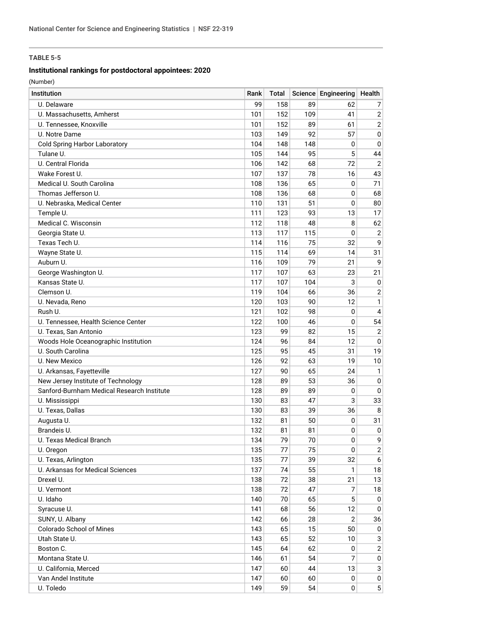## **Institutional rankings for postdoctoral appointees: 2020**

| <b>Institution</b>                         | Rank | Total |     | Science Engineering | Health         |
|--------------------------------------------|------|-------|-----|---------------------|----------------|
| U. Delaware                                | 99   | 158   | 89  | 62                  | 7              |
| U. Massachusetts, Amherst                  | 101  | 152   | 109 | 41                  | $\sqrt{2}$     |
| U. Tennessee, Knoxville                    | 101  | 152   | 89  | 61                  | $\sqrt{2}$     |
| U. Notre Dame                              | 103  | 149   | 92  | 57                  | $\pmb{0}$      |
| <b>Cold Spring Harbor Laboratory</b>       | 104  | 148   | 148 | 0                   | $\mathbf 0$    |
| Tulane U.                                  | 105  | 144   | 95  | 5                   | 44             |
| U. Central Florida                         | 106  | 142   | 68  | 72                  | $\overline{2}$ |
| Wake Forest U.                             | 107  | 137   | 78  | 16                  | 43             |
| Medical U. South Carolina                  | 108  | 136   | 65  | 0                   | 71             |
| Thomas Jefferson U.                        | 108  | 136   | 68  | 0                   | 68             |
| U. Nebraska, Medical Center                | 110  | 131   | 51  | 0                   | 80             |
| Temple U.                                  | 111  | 123   | 93  | 13                  | 17             |
| Medical C. Wisconsin                       | 112  | 118   | 48  | 8                   | 62             |
| Georgia State U.                           | 113  | 117   | 115 | 0                   | $\overline{2}$ |
| Texas Tech U.                              | 114  | 116   | 75  | 32                  | 9              |
| Wayne State U.                             | 115  | 114   | 69  | 14                  | 31             |
| Auburn U.                                  | 116  | 109   | 79  | 21                  | 9              |
| George Washington U.                       | 117  | 107   | 63  | 23                  | 21             |
| Kansas State U.                            | 117  | 107   | 104 | 3                   | 0              |
| Clemson U.                                 | 119  | 104   | 66  | 36                  | $\overline{2}$ |
| U. Nevada, Reno                            | 120  | 103   | 90  | 12                  | $\mathbf{1}$   |
| Rush U.                                    | 121  | 102   | 98  | 0                   | 4              |
| U. Tennessee, Health Science Center        | 122  | 100   | 46  | 0                   | 54             |
| U. Texas, San Antonio                      | 123  | 99    | 82  | 15                  | $\overline{2}$ |
| Woods Hole Oceanographic Institution       | 124  | 96    | 84  | 12                  | 0              |
| U. South Carolina                          | 125  | 95    | 45  | 31                  | 19             |
| U. New Mexico                              | 126  | 92    | 63  | 19                  | 10             |
| U. Arkansas, Fayetteville                  | 127  | 90    | 65  | 24                  | $\mathbf{1}$   |
| New Jersey Institute of Technology         | 128  | 89    | 53  | 36                  | $\mathbf 0$    |
| Sanford-Burnham Medical Research Institute | 128  | 89    | 89  | 0                   | 0              |
| U. Mississippi                             | 130  | 83    | 47  | 3                   | 33             |
| U. Texas, Dallas                           | 130  | 83    | 39  | 36                  | 8              |
| Augusta U.                                 | 132  | 81    | 50  | 0                   | 31             |
| Brandeis U.                                | 132  | 81    | 81  | 0                   | 0              |
| U. Texas Medical Branch                    | 134  | 79    | 70  | 0                   | 9              |
| U. Oregon                                  | 135  | 77    | 75  | $\mathsf 0$         | $\overline{2}$ |
| U. Texas, Arlington                        | 135  | 77    | 39  | 32                  | 6              |
| U. Arkansas for Medical Sciences           | 137  | 74    | 55  | 1                   | 18             |
| Drexel U.                                  | 138  | 72    | 38  | 21                  | 13             |
| U. Vermont                                 | 138  | 72    | 47  | 7                   | 18             |
| U. Idaho                                   | 140  | 70    | 65  | 5                   | 0              |
| Syracuse U.                                | 141  | 68    | 56  | 12                  | 0              |
| SUNY, U. Albany                            | 142  | 66    | 28  | $\overline{2}$      | 36             |
| Colorado School of Mines                   | 143  | 65    | 15  | 50                  | 0              |
| Utah State U.                              | 143  | 65    | 52  | 10                  | 3              |
| Boston C.                                  | 145  | 64    | 62  | 0                   | $\sqrt{2}$     |
| Montana State U.                           | 146  | 61    | 54  | 7                   | $\pmb{0}$      |
| U. California, Merced                      | 147  | 60    | 44  | 13                  | 3              |
| Van Andel Institute                        | 147  | 60    | 60  | 0                   | 0              |
| U. Toledo                                  | 149  | 59    | 54  | $\mathbf 0$         | 5 <sup>1</sup> |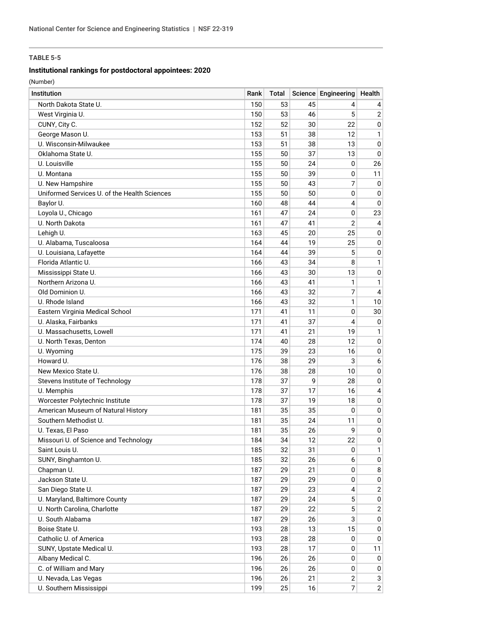## **Institutional rankings for postdoctoral appointees: 2020**

| Institution                                  | Rank | Total |    | Science Engineering | Health         |
|----------------------------------------------|------|-------|----|---------------------|----------------|
| North Dakota State U.                        | 150  | 53    | 45 | 4                   | 4              |
| West Virginia U.                             | 150  | 53    | 46 | 5                   | $\sqrt{2}$     |
| CUNY, City C.                                | 152  | 52    | 30 | 22                  | 0              |
| George Mason U.                              | 153  | 51    | 38 | 12                  | 1              |
| U. Wisconsin-Milwaukee                       | 153  | 51    | 38 | 13                  | $\pmb{0}$      |
| Oklahoma State U.                            | 155  | 50    | 37 | 13                  | 0              |
| U. Louisville                                | 155  | 50    | 24 | 0                   | 26             |
| U. Montana                                   | 155  | 50    | 39 | 0                   | 11             |
| U. New Hampshire                             | 155  | 50    | 43 | 7                   | 0              |
| Uniformed Services U. of the Health Sciences | 155  | 50    | 50 | 0                   | $\mathbf 0$    |
| Baylor U.                                    | 160  | 48    | 44 | 4                   | $\Omega$       |
| Loyola U., Chicago                           | 161  | 47    | 24 | 0                   | 23             |
| U. North Dakota                              | 161  | 47    | 41 | $\overline{2}$      | 4              |
| Lehigh U.                                    | 163  | 45    | 20 | 25                  | $\mathbf 0$    |
| U. Alabama, Tuscaloosa                       | 164  | 44    | 19 | 25                  | $\mathbf 0$    |
| U. Louisiana, Lafayette                      | 164  | 44    | 39 | 5                   | 0              |
| Florida Atlantic U.                          | 166  | 43    | 34 | 8                   | $\mathbf{1}$   |
| Mississippi State U.                         | 166  | 43    | 30 | 13                  | 0              |
| Northern Arizona U.                          | 166  | 43    | 41 | 1                   | 1              |
| Old Dominion U.                              | 166  | 43    | 32 | 7                   | 4              |
| U. Rhode Island                              | 166  | 43    | 32 | 1                   | 10             |
| Eastern Virginia Medical School              | 171  | 41    | 11 | 0                   | 30             |
| U. Alaska, Fairbanks                         | 171  | 41    | 37 | 4                   | 0              |
| U. Massachusetts, Lowell                     | 171  | 41    | 21 | 19                  | 1              |
| U. North Texas, Denton                       | 174  | 40    | 28 | 12                  | $\mathbf 0$    |
| U. Wyoming                                   | 175  | 39    | 23 | 16                  | $\mathbf 0$    |
| Howard U.                                    | 176  | 38    | 29 | 3                   | 6              |
| New Mexico State U.                          | 176  | 38    | 28 | 10                  | 0              |
| Stevens Institute of Technology              | 178  | 37    | 9  | 28                  | 0              |
| U. Memphis                                   | 178  | 37    | 17 | 16                  | $\overline{4}$ |
| Worcester Polytechnic Institute              | 178  | 37    | 19 | 18                  | $\mathbf 0$    |
| American Museum of Natural History           | 181  | 35    | 35 | 0                   | $\mathbf 0$    |
| Southern Methodist U.                        | 181  | 35    | 24 | 11                  | $\mathbf 0$    |
| U. Texas, El Paso                            | 181  | 35    | 26 | 9                   | 0              |
| Missouri U. of Science and Technology        | 184  | 34    | 12 | 22                  | 0              |
| Saint Louis U.                               | 185  | 32    | 31 | $\pmb{0}$           | 1              |
| SUNY, Binghamton U.                          | 185  | 32    | 26 | 6                   | 0              |
| Chapman U.                                   | 187  | 29    | 21 | 0                   | 8              |
| Jackson State U.                             | 187  | 29    | 29 | 0                   | 0              |
| San Diego State U.                           | 187  | 29    | 23 | 4                   | $\mathbf{2}$   |
| U. Maryland, Baltimore County                | 187  | 29    | 24 | 5                   | 0              |
| U. North Carolina, Charlotte                 | 187  | 29    | 22 | 5                   | $\overline{c}$ |
| U. South Alabama                             | 187  | 29    | 26 | 3                   | 0              |
| Boise State U.                               | 193  | 28    | 13 | 15                  | 0              |
| Catholic U. of America                       | 193  | 28    | 28 | 0                   | 0              |
| SUNY, Upstate Medical U.                     | 193  | 28    | 17 | 0                   | 11             |
| Albany Medical C.                            | 196  | 26    | 26 | 0                   | 0              |
| C. of William and Mary                       | 196  | 26    | 26 | 0                   | 0              |
| U. Nevada, Las Vegas                         | 196  | 26    | 21 | $\sqrt{2}$          | 3              |
| U. Southern Mississippi                      | 199  | 25    | 16 | 7                   | $2\vert$       |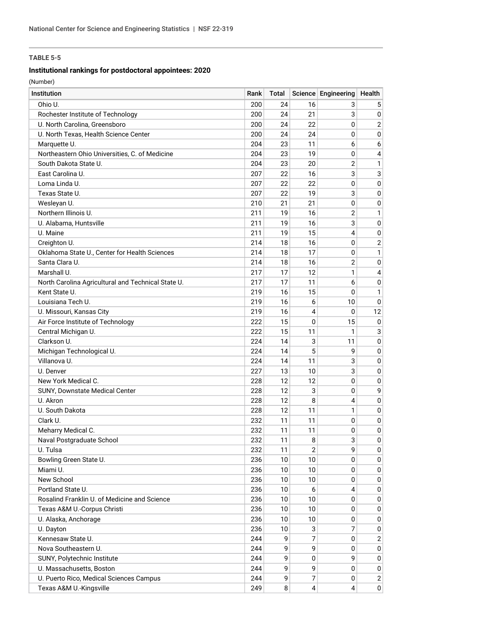## **Institutional rankings for postdoctoral appointees: 2020**

| Institution                                        | Rank | Total |                | Science Engineering Health |                |
|----------------------------------------------------|------|-------|----------------|----------------------------|----------------|
| Ohio U.                                            | 200  | 24    | 16             | 3                          | 5              |
| Rochester Institute of Technology                  | 200  | 24    | 21             | 3                          | 0 <sup>1</sup> |
| U. North Carolina, Greensboro                      | 200  | 24    | 22             | 0                          | $\overline{2}$ |
| U. North Texas, Health Science Center              | 200  | 24    | 24             | 0                          | 0              |
| Marquette U.                                       | 204  | 23    | 11             | 6                          | 6              |
| Northeastern Ohio Universities, C. of Medicine     | 204  | 23    | 19             | 0                          | 4              |
| South Dakota State U.                              | 204  | 23    | 20             | $\overline{2}$             | $\mathbf{1}$   |
| East Carolina U.                                   | 207  | 22    | 16             | 3                          | 3              |
| Loma Linda U.                                      | 207  | 22    | 22             | 0                          | $\overline{0}$ |
| Texas State U.                                     | 207  | 22    | 19             | 3                          | $\overline{0}$ |
| Wesleyan U.                                        | 210  | 21    | 21             | 0                          | 0              |
| Northern Illinois U.                               | 211  | 19    | 16             | $\overline{2}$             | 1              |
| U. Alabama, Huntsville                             | 211  | 19    | 16             | 3                          | 0              |
| U. Maine                                           | 211  | 19    | 15             | 4                          | 0              |
| Creighton U.                                       | 214  | 18    | 16             | 0                          | $2 \nvert$     |
| Oklahoma State U., Center for Health Sciences      | 214  | 18    | 17             | 0                          | 1              |
| Santa Clara U.                                     | 214  | 18    | 16             | 2                          | 0              |
| Marshall U.                                        | 217  | 17    | 12             | 1                          | 4              |
| North Carolina Agricultural and Technical State U. | 217  | 17    | 11             | 6                          | 0              |
| Kent State U.                                      | 219  | 16    | 15             | 0                          | $\mathbf{1}$   |
| Louisiana Tech U.                                  | 219  | 16    | 6              | 10                         | 0              |
| U. Missouri, Kansas City                           | 219  | 16    | 4              | 0                          | 12             |
| Air Force Institute of Technology                  | 222  | 15    | 0              | 15                         | 0              |
| Central Michigan U.                                | 222  | 15    | 11             | 1                          | 3              |
| Clarkson U.                                        | 224  | 14    | 3              | 11                         | 0              |
| Michigan Technological U.                          | 224  | 14    | 5              | 9                          | 0              |
| Villanova U.                                       | 224  | 14    | 11             | 3                          | 0              |
| U. Denver                                          | 227  | 13    | 10             | 3                          | 0              |
| New York Medical C.                                | 228  | 12    | 12             | 0                          | 0              |
| SUNY, Downstate Medical Center                     | 228  | 12    | 3              | 0                          | 9              |
| U. Akron                                           | 228  | 12    | 8              | 4                          | 0              |
| U. South Dakota                                    | 228  | 12    | 11             | 1                          | $\overline{0}$ |
| Clark U.                                           | 232  | 11    | 11             | 0                          | $\overline{0}$ |
| Meharry Medical C.                                 | 232  | 11    | 11             | 0                          | 0              |
| Naval Postgraduate School                          | 232  | 11    | 8              | 3                          | 0              |
| U. Tulsa                                           | 232  | 11    | $\overline{2}$ | 9                          | 0              |
| Bowling Green State U.                             | 236  | 10    | 10             | 0                          | 0 <sup>1</sup> |
| Miami U.                                           | 236  | 10    | 10             | 0                          | 0 <sup>1</sup> |
| New School                                         | 236  | 10    | 10             | 0                          | 0              |
| Portland State U.                                  | 236  | 10    | 6              | 4                          | 0              |
| Rosalind Franklin U. of Medicine and Science       | 236  | 10    | 10             | 0                          | 0              |
| Texas A&M U.-Corpus Christi                        | 236  | 10    | 10             | 0                          | 0              |
| U. Alaska, Anchorage                               | 236  | 10    | 10             | 0                          | 0 <sup>1</sup> |
| U. Dayton                                          | 236  | 10    | 3              | 7                          | 0              |
| Kennesaw State U.                                  | 244  | 9     | 7              | 0                          | $\overline{2}$ |
| Nova Southeastern U.                               | 244  | 9     | 9              | 0                          | 0 <sup>1</sup> |
| SUNY, Polytechnic Institute                        | 244  | 9     | 0              | 9                          | 0 <sup>1</sup> |
| U. Massachusetts, Boston                           | 244  | 9     | 9              | 0                          | 0              |
| U. Puerto Rico, Medical Sciences Campus            | 244  | 9     | 7              | 0                          | 2              |
| Texas A&M U.-Kingsville                            | 249  | 8     | 4              | 4                          | 0              |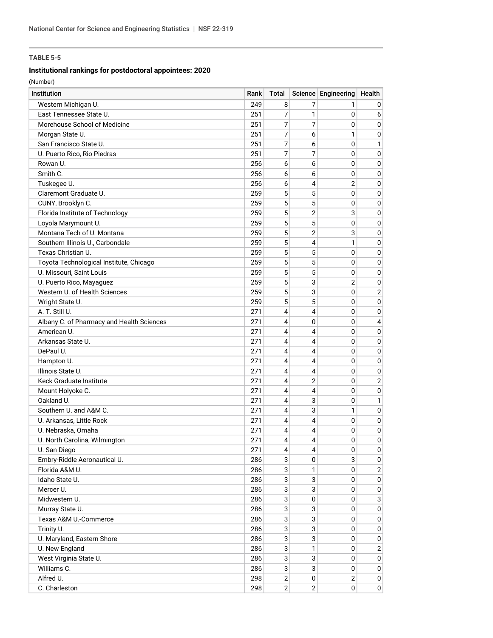## **Institutional rankings for postdoctoral appointees: 2020**

| Western Michigan U.<br>249<br>8<br>7<br>0<br>1<br>East Tennessee State U.<br>7<br>251<br>1<br>0<br>6<br>Morehouse School of Medicine<br>7<br>251<br>7<br>0<br>0<br>7<br>6<br>1<br>251<br>0<br>Morgan State U.<br>7<br>6<br>San Francisco State U.<br>251<br>0<br>1<br>7<br>7<br>U. Puerto Rico, Rio Piedras<br>251<br>0<br>$\mathbf 0$<br>6<br>Rowan U.<br>256<br>6<br>0<br>$\mathbf 0$<br>Smith C.<br>256<br>6<br>6<br>0<br>0<br>6<br>4<br>$\overline{2}$<br>Tuskegee U.<br>256<br>$\mathbf 0$<br>5<br>5<br>Claremont Graduate U.<br>259<br>0<br>$\mathbf 0$<br>5<br>5<br>CUNY, Brooklyn C.<br>259<br>0<br>$\mathbf 0$<br>5<br>$\overline{2}$<br>3<br>Florida Institute of Technology<br>259<br>$\mathbf 0$<br>Loyola Marymount U.<br>5<br>5<br>259<br>0<br>$\mathbf 0$<br>Montana Tech of U. Montana<br>5<br>$\overline{2}$<br>3<br>259<br>0<br>5<br>4<br>1<br>Southern Illinois U., Carbondale<br>259<br>$\mathbf 0$<br>Texas Christian U.<br>5<br>5<br>259<br>0<br>0<br>5<br>5<br>Toyota Technological Institute, Chicago<br>259<br>0<br>$\mathbf 0$<br>5<br>U. Missouri, Saint Louis<br>5<br>259<br>$\mathbf 0$<br>$\mathbf 0$<br>3<br>5<br>$\overline{2}$<br>U. Puerto Rico, Mayaguez<br>259<br>$\mathbf 0$<br>Western U. of Health Sciences<br>3<br>259<br>5<br>$\overline{2}$<br>0<br>5<br>Wright State U.<br>5<br>259<br>0<br>$\mathbf 0$<br>A. T. Still U.<br>4<br>4<br>271<br>$\mathbf 0$<br>0<br>Albany C. of Pharmacy and Health Sciences<br>271<br>4<br>0<br>0<br>4<br>American U.<br>271<br>4<br>4<br>0<br>$\mathbf 0$<br>Arkansas State U.<br>271<br>4<br>4<br>0<br>$\mathbf 0$<br>DePaul U.<br>271<br>4<br>4<br>0<br>0<br>4<br>271<br>4<br>0<br>$\mathbf 0$<br>Hampton U.<br>Illinois State U.<br>4<br>271<br>4<br>0<br>$\mathbf 0$<br>$\overline{2}$<br>$\overline{2}$<br>Keck Graduate Institute<br>271<br>4<br>0<br>4<br>271<br>4<br>0<br>0<br>Mount Holyoke C.<br>Oakland U.<br>3<br>271<br>4<br>0<br>1<br>Southern U. and A&M C.<br>4<br>3<br>1<br>271<br>$\mathbf 0$<br>4<br>U. Arkansas, Little Rock<br>271<br>4<br>0<br>$\mathbf 0$<br>4<br>U. Nebraska, Omaha<br>271<br>4<br>0<br>$\pmb{0}$<br>4<br>0<br>U. North Carolina, Wilmington<br>271<br>4<br>0<br>271<br>U. San Diego<br>$\pmb{0}$<br>0<br>4<br>4<br>3<br>3<br>Embry-Riddle Aeronautical U.<br>0<br>286<br>0<br>Florida A&M U.<br>3<br>286<br>0<br>$\overline{c}$<br>1<br>3<br>Idaho State U.<br>3<br>286<br>0<br>0<br>Mercer U.<br>3<br>3<br>286<br>0<br>0<br>Midwestern U.<br>3<br>$\mathbf 0$<br>3<br>286<br>0<br>Murray State U.<br>286<br>3<br>3<br>$\mathbf 0$<br>0<br>3<br>3<br>Texas A&M U.-Commerce<br>286<br>0<br>0<br>3<br>3<br>Trinity U.<br>286<br>0<br>0<br>3<br>3<br>U. Maryland, Eastern Shore<br>286<br>0<br>0<br>3<br>U. New England<br>286<br>1<br>$\mathbf{2}$<br>0<br>3<br>3<br>West Virginia State U.<br>286<br>0<br>0<br>Williams C.<br>3<br>3<br>286<br>0<br>0<br>Alfred U.<br>2<br>298<br>$\mathbf 0$<br>2<br>0 | Institution   | Rank | <b>Total</b>   |                | Science Engineering | Health           |
|-----------------------------------------------------------------------------------------------------------------------------------------------------------------------------------------------------------------------------------------------------------------------------------------------------------------------------------------------------------------------------------------------------------------------------------------------------------------------------------------------------------------------------------------------------------------------------------------------------------------------------------------------------------------------------------------------------------------------------------------------------------------------------------------------------------------------------------------------------------------------------------------------------------------------------------------------------------------------------------------------------------------------------------------------------------------------------------------------------------------------------------------------------------------------------------------------------------------------------------------------------------------------------------------------------------------------------------------------------------------------------------------------------------------------------------------------------------------------------------------------------------------------------------------------------------------------------------------------------------------------------------------------------------------------------------------------------------------------------------------------------------------------------------------------------------------------------------------------------------------------------------------------------------------------------------------------------------------------------------------------------------------------------------------------------------------------------------------------------------------------------------------------------------------------------------------------------------------------------------------------------------------------------------------------------------------------------------------------------------------------------------------------------------------------------------------------------------------------------------------------------------------------------------------------------------------------------------------------------------------------------------------------------------------------------------------------------------------------------------------------------------------------------------------------------------------------------------------------------------------------------------------------------------------------------|---------------|------|----------------|----------------|---------------------|------------------|
|                                                                                                                                                                                                                                                                                                                                                                                                                                                                                                                                                                                                                                                                                                                                                                                                                                                                                                                                                                                                                                                                                                                                                                                                                                                                                                                                                                                                                                                                                                                                                                                                                                                                                                                                                                                                                                                                                                                                                                                                                                                                                                                                                                                                                                                                                                                                                                                                                                                                                                                                                                                                                                                                                                                                                                                                                                                                                                                             |               |      |                |                |                     |                  |
|                                                                                                                                                                                                                                                                                                                                                                                                                                                                                                                                                                                                                                                                                                                                                                                                                                                                                                                                                                                                                                                                                                                                                                                                                                                                                                                                                                                                                                                                                                                                                                                                                                                                                                                                                                                                                                                                                                                                                                                                                                                                                                                                                                                                                                                                                                                                                                                                                                                                                                                                                                                                                                                                                                                                                                                                                                                                                                                             |               |      |                |                |                     |                  |
|                                                                                                                                                                                                                                                                                                                                                                                                                                                                                                                                                                                                                                                                                                                                                                                                                                                                                                                                                                                                                                                                                                                                                                                                                                                                                                                                                                                                                                                                                                                                                                                                                                                                                                                                                                                                                                                                                                                                                                                                                                                                                                                                                                                                                                                                                                                                                                                                                                                                                                                                                                                                                                                                                                                                                                                                                                                                                                                             |               |      |                |                |                     |                  |
|                                                                                                                                                                                                                                                                                                                                                                                                                                                                                                                                                                                                                                                                                                                                                                                                                                                                                                                                                                                                                                                                                                                                                                                                                                                                                                                                                                                                                                                                                                                                                                                                                                                                                                                                                                                                                                                                                                                                                                                                                                                                                                                                                                                                                                                                                                                                                                                                                                                                                                                                                                                                                                                                                                                                                                                                                                                                                                                             |               |      |                |                |                     |                  |
|                                                                                                                                                                                                                                                                                                                                                                                                                                                                                                                                                                                                                                                                                                                                                                                                                                                                                                                                                                                                                                                                                                                                                                                                                                                                                                                                                                                                                                                                                                                                                                                                                                                                                                                                                                                                                                                                                                                                                                                                                                                                                                                                                                                                                                                                                                                                                                                                                                                                                                                                                                                                                                                                                                                                                                                                                                                                                                                             |               |      |                |                |                     |                  |
|                                                                                                                                                                                                                                                                                                                                                                                                                                                                                                                                                                                                                                                                                                                                                                                                                                                                                                                                                                                                                                                                                                                                                                                                                                                                                                                                                                                                                                                                                                                                                                                                                                                                                                                                                                                                                                                                                                                                                                                                                                                                                                                                                                                                                                                                                                                                                                                                                                                                                                                                                                                                                                                                                                                                                                                                                                                                                                                             |               |      |                |                |                     |                  |
|                                                                                                                                                                                                                                                                                                                                                                                                                                                                                                                                                                                                                                                                                                                                                                                                                                                                                                                                                                                                                                                                                                                                                                                                                                                                                                                                                                                                                                                                                                                                                                                                                                                                                                                                                                                                                                                                                                                                                                                                                                                                                                                                                                                                                                                                                                                                                                                                                                                                                                                                                                                                                                                                                                                                                                                                                                                                                                                             |               |      |                |                |                     |                  |
|                                                                                                                                                                                                                                                                                                                                                                                                                                                                                                                                                                                                                                                                                                                                                                                                                                                                                                                                                                                                                                                                                                                                                                                                                                                                                                                                                                                                                                                                                                                                                                                                                                                                                                                                                                                                                                                                                                                                                                                                                                                                                                                                                                                                                                                                                                                                                                                                                                                                                                                                                                                                                                                                                                                                                                                                                                                                                                                             |               |      |                |                |                     |                  |
|                                                                                                                                                                                                                                                                                                                                                                                                                                                                                                                                                                                                                                                                                                                                                                                                                                                                                                                                                                                                                                                                                                                                                                                                                                                                                                                                                                                                                                                                                                                                                                                                                                                                                                                                                                                                                                                                                                                                                                                                                                                                                                                                                                                                                                                                                                                                                                                                                                                                                                                                                                                                                                                                                                                                                                                                                                                                                                                             |               |      |                |                |                     |                  |
|                                                                                                                                                                                                                                                                                                                                                                                                                                                                                                                                                                                                                                                                                                                                                                                                                                                                                                                                                                                                                                                                                                                                                                                                                                                                                                                                                                                                                                                                                                                                                                                                                                                                                                                                                                                                                                                                                                                                                                                                                                                                                                                                                                                                                                                                                                                                                                                                                                                                                                                                                                                                                                                                                                                                                                                                                                                                                                                             |               |      |                |                |                     |                  |
|                                                                                                                                                                                                                                                                                                                                                                                                                                                                                                                                                                                                                                                                                                                                                                                                                                                                                                                                                                                                                                                                                                                                                                                                                                                                                                                                                                                                                                                                                                                                                                                                                                                                                                                                                                                                                                                                                                                                                                                                                                                                                                                                                                                                                                                                                                                                                                                                                                                                                                                                                                                                                                                                                                                                                                                                                                                                                                                             |               |      |                |                |                     |                  |
|                                                                                                                                                                                                                                                                                                                                                                                                                                                                                                                                                                                                                                                                                                                                                                                                                                                                                                                                                                                                                                                                                                                                                                                                                                                                                                                                                                                                                                                                                                                                                                                                                                                                                                                                                                                                                                                                                                                                                                                                                                                                                                                                                                                                                                                                                                                                                                                                                                                                                                                                                                                                                                                                                                                                                                                                                                                                                                                             |               |      |                |                |                     |                  |
|                                                                                                                                                                                                                                                                                                                                                                                                                                                                                                                                                                                                                                                                                                                                                                                                                                                                                                                                                                                                                                                                                                                                                                                                                                                                                                                                                                                                                                                                                                                                                                                                                                                                                                                                                                                                                                                                                                                                                                                                                                                                                                                                                                                                                                                                                                                                                                                                                                                                                                                                                                                                                                                                                                                                                                                                                                                                                                                             |               |      |                |                |                     |                  |
|                                                                                                                                                                                                                                                                                                                                                                                                                                                                                                                                                                                                                                                                                                                                                                                                                                                                                                                                                                                                                                                                                                                                                                                                                                                                                                                                                                                                                                                                                                                                                                                                                                                                                                                                                                                                                                                                                                                                                                                                                                                                                                                                                                                                                                                                                                                                                                                                                                                                                                                                                                                                                                                                                                                                                                                                                                                                                                                             |               |      |                |                |                     |                  |
|                                                                                                                                                                                                                                                                                                                                                                                                                                                                                                                                                                                                                                                                                                                                                                                                                                                                                                                                                                                                                                                                                                                                                                                                                                                                                                                                                                                                                                                                                                                                                                                                                                                                                                                                                                                                                                                                                                                                                                                                                                                                                                                                                                                                                                                                                                                                                                                                                                                                                                                                                                                                                                                                                                                                                                                                                                                                                                                             |               |      |                |                |                     |                  |
|                                                                                                                                                                                                                                                                                                                                                                                                                                                                                                                                                                                                                                                                                                                                                                                                                                                                                                                                                                                                                                                                                                                                                                                                                                                                                                                                                                                                                                                                                                                                                                                                                                                                                                                                                                                                                                                                                                                                                                                                                                                                                                                                                                                                                                                                                                                                                                                                                                                                                                                                                                                                                                                                                                                                                                                                                                                                                                                             |               |      |                |                |                     |                  |
|                                                                                                                                                                                                                                                                                                                                                                                                                                                                                                                                                                                                                                                                                                                                                                                                                                                                                                                                                                                                                                                                                                                                                                                                                                                                                                                                                                                                                                                                                                                                                                                                                                                                                                                                                                                                                                                                                                                                                                                                                                                                                                                                                                                                                                                                                                                                                                                                                                                                                                                                                                                                                                                                                                                                                                                                                                                                                                                             |               |      |                |                |                     |                  |
|                                                                                                                                                                                                                                                                                                                                                                                                                                                                                                                                                                                                                                                                                                                                                                                                                                                                                                                                                                                                                                                                                                                                                                                                                                                                                                                                                                                                                                                                                                                                                                                                                                                                                                                                                                                                                                                                                                                                                                                                                                                                                                                                                                                                                                                                                                                                                                                                                                                                                                                                                                                                                                                                                                                                                                                                                                                                                                                             |               |      |                |                |                     |                  |
|                                                                                                                                                                                                                                                                                                                                                                                                                                                                                                                                                                                                                                                                                                                                                                                                                                                                                                                                                                                                                                                                                                                                                                                                                                                                                                                                                                                                                                                                                                                                                                                                                                                                                                                                                                                                                                                                                                                                                                                                                                                                                                                                                                                                                                                                                                                                                                                                                                                                                                                                                                                                                                                                                                                                                                                                                                                                                                                             |               |      |                |                |                     |                  |
|                                                                                                                                                                                                                                                                                                                                                                                                                                                                                                                                                                                                                                                                                                                                                                                                                                                                                                                                                                                                                                                                                                                                                                                                                                                                                                                                                                                                                                                                                                                                                                                                                                                                                                                                                                                                                                                                                                                                                                                                                                                                                                                                                                                                                                                                                                                                                                                                                                                                                                                                                                                                                                                                                                                                                                                                                                                                                                                             |               |      |                |                |                     |                  |
|                                                                                                                                                                                                                                                                                                                                                                                                                                                                                                                                                                                                                                                                                                                                                                                                                                                                                                                                                                                                                                                                                                                                                                                                                                                                                                                                                                                                                                                                                                                                                                                                                                                                                                                                                                                                                                                                                                                                                                                                                                                                                                                                                                                                                                                                                                                                                                                                                                                                                                                                                                                                                                                                                                                                                                                                                                                                                                                             |               |      |                |                |                     |                  |
|                                                                                                                                                                                                                                                                                                                                                                                                                                                                                                                                                                                                                                                                                                                                                                                                                                                                                                                                                                                                                                                                                                                                                                                                                                                                                                                                                                                                                                                                                                                                                                                                                                                                                                                                                                                                                                                                                                                                                                                                                                                                                                                                                                                                                                                                                                                                                                                                                                                                                                                                                                                                                                                                                                                                                                                                                                                                                                                             |               |      |                |                |                     |                  |
|                                                                                                                                                                                                                                                                                                                                                                                                                                                                                                                                                                                                                                                                                                                                                                                                                                                                                                                                                                                                                                                                                                                                                                                                                                                                                                                                                                                                                                                                                                                                                                                                                                                                                                                                                                                                                                                                                                                                                                                                                                                                                                                                                                                                                                                                                                                                                                                                                                                                                                                                                                                                                                                                                                                                                                                                                                                                                                                             |               |      |                |                |                     |                  |
|                                                                                                                                                                                                                                                                                                                                                                                                                                                                                                                                                                                                                                                                                                                                                                                                                                                                                                                                                                                                                                                                                                                                                                                                                                                                                                                                                                                                                                                                                                                                                                                                                                                                                                                                                                                                                                                                                                                                                                                                                                                                                                                                                                                                                                                                                                                                                                                                                                                                                                                                                                                                                                                                                                                                                                                                                                                                                                                             |               |      |                |                |                     |                  |
|                                                                                                                                                                                                                                                                                                                                                                                                                                                                                                                                                                                                                                                                                                                                                                                                                                                                                                                                                                                                                                                                                                                                                                                                                                                                                                                                                                                                                                                                                                                                                                                                                                                                                                                                                                                                                                                                                                                                                                                                                                                                                                                                                                                                                                                                                                                                                                                                                                                                                                                                                                                                                                                                                                                                                                                                                                                                                                                             |               |      |                |                |                     |                  |
|                                                                                                                                                                                                                                                                                                                                                                                                                                                                                                                                                                                                                                                                                                                                                                                                                                                                                                                                                                                                                                                                                                                                                                                                                                                                                                                                                                                                                                                                                                                                                                                                                                                                                                                                                                                                                                                                                                                                                                                                                                                                                                                                                                                                                                                                                                                                                                                                                                                                                                                                                                                                                                                                                                                                                                                                                                                                                                                             |               |      |                |                |                     |                  |
|                                                                                                                                                                                                                                                                                                                                                                                                                                                                                                                                                                                                                                                                                                                                                                                                                                                                                                                                                                                                                                                                                                                                                                                                                                                                                                                                                                                                                                                                                                                                                                                                                                                                                                                                                                                                                                                                                                                                                                                                                                                                                                                                                                                                                                                                                                                                                                                                                                                                                                                                                                                                                                                                                                                                                                                                                                                                                                                             |               |      |                |                |                     |                  |
|                                                                                                                                                                                                                                                                                                                                                                                                                                                                                                                                                                                                                                                                                                                                                                                                                                                                                                                                                                                                                                                                                                                                                                                                                                                                                                                                                                                                                                                                                                                                                                                                                                                                                                                                                                                                                                                                                                                                                                                                                                                                                                                                                                                                                                                                                                                                                                                                                                                                                                                                                                                                                                                                                                                                                                                                                                                                                                                             |               |      |                |                |                     |                  |
|                                                                                                                                                                                                                                                                                                                                                                                                                                                                                                                                                                                                                                                                                                                                                                                                                                                                                                                                                                                                                                                                                                                                                                                                                                                                                                                                                                                                                                                                                                                                                                                                                                                                                                                                                                                                                                                                                                                                                                                                                                                                                                                                                                                                                                                                                                                                                                                                                                                                                                                                                                                                                                                                                                                                                                                                                                                                                                                             |               |      |                |                |                     |                  |
|                                                                                                                                                                                                                                                                                                                                                                                                                                                                                                                                                                                                                                                                                                                                                                                                                                                                                                                                                                                                                                                                                                                                                                                                                                                                                                                                                                                                                                                                                                                                                                                                                                                                                                                                                                                                                                                                                                                                                                                                                                                                                                                                                                                                                                                                                                                                                                                                                                                                                                                                                                                                                                                                                                                                                                                                                                                                                                                             |               |      |                |                |                     |                  |
|                                                                                                                                                                                                                                                                                                                                                                                                                                                                                                                                                                                                                                                                                                                                                                                                                                                                                                                                                                                                                                                                                                                                                                                                                                                                                                                                                                                                                                                                                                                                                                                                                                                                                                                                                                                                                                                                                                                                                                                                                                                                                                                                                                                                                                                                                                                                                                                                                                                                                                                                                                                                                                                                                                                                                                                                                                                                                                                             |               |      |                |                |                     |                  |
|                                                                                                                                                                                                                                                                                                                                                                                                                                                                                                                                                                                                                                                                                                                                                                                                                                                                                                                                                                                                                                                                                                                                                                                                                                                                                                                                                                                                                                                                                                                                                                                                                                                                                                                                                                                                                                                                                                                                                                                                                                                                                                                                                                                                                                                                                                                                                                                                                                                                                                                                                                                                                                                                                                                                                                                                                                                                                                                             |               |      |                |                |                     |                  |
|                                                                                                                                                                                                                                                                                                                                                                                                                                                                                                                                                                                                                                                                                                                                                                                                                                                                                                                                                                                                                                                                                                                                                                                                                                                                                                                                                                                                                                                                                                                                                                                                                                                                                                                                                                                                                                                                                                                                                                                                                                                                                                                                                                                                                                                                                                                                                                                                                                                                                                                                                                                                                                                                                                                                                                                                                                                                                                                             |               |      |                |                |                     |                  |
|                                                                                                                                                                                                                                                                                                                                                                                                                                                                                                                                                                                                                                                                                                                                                                                                                                                                                                                                                                                                                                                                                                                                                                                                                                                                                                                                                                                                                                                                                                                                                                                                                                                                                                                                                                                                                                                                                                                                                                                                                                                                                                                                                                                                                                                                                                                                                                                                                                                                                                                                                                                                                                                                                                                                                                                                                                                                                                                             |               |      |                |                |                     |                  |
|                                                                                                                                                                                                                                                                                                                                                                                                                                                                                                                                                                                                                                                                                                                                                                                                                                                                                                                                                                                                                                                                                                                                                                                                                                                                                                                                                                                                                                                                                                                                                                                                                                                                                                                                                                                                                                                                                                                                                                                                                                                                                                                                                                                                                                                                                                                                                                                                                                                                                                                                                                                                                                                                                                                                                                                                                                                                                                                             |               |      |                |                |                     |                  |
|                                                                                                                                                                                                                                                                                                                                                                                                                                                                                                                                                                                                                                                                                                                                                                                                                                                                                                                                                                                                                                                                                                                                                                                                                                                                                                                                                                                                                                                                                                                                                                                                                                                                                                                                                                                                                                                                                                                                                                                                                                                                                                                                                                                                                                                                                                                                                                                                                                                                                                                                                                                                                                                                                                                                                                                                                                                                                                                             |               |      |                |                |                     |                  |
|                                                                                                                                                                                                                                                                                                                                                                                                                                                                                                                                                                                                                                                                                                                                                                                                                                                                                                                                                                                                                                                                                                                                                                                                                                                                                                                                                                                                                                                                                                                                                                                                                                                                                                                                                                                                                                                                                                                                                                                                                                                                                                                                                                                                                                                                                                                                                                                                                                                                                                                                                                                                                                                                                                                                                                                                                                                                                                                             |               |      |                |                |                     |                  |
|                                                                                                                                                                                                                                                                                                                                                                                                                                                                                                                                                                                                                                                                                                                                                                                                                                                                                                                                                                                                                                                                                                                                                                                                                                                                                                                                                                                                                                                                                                                                                                                                                                                                                                                                                                                                                                                                                                                                                                                                                                                                                                                                                                                                                                                                                                                                                                                                                                                                                                                                                                                                                                                                                                                                                                                                                                                                                                                             |               |      |                |                |                     |                  |
|                                                                                                                                                                                                                                                                                                                                                                                                                                                                                                                                                                                                                                                                                                                                                                                                                                                                                                                                                                                                                                                                                                                                                                                                                                                                                                                                                                                                                                                                                                                                                                                                                                                                                                                                                                                                                                                                                                                                                                                                                                                                                                                                                                                                                                                                                                                                                                                                                                                                                                                                                                                                                                                                                                                                                                                                                                                                                                                             |               |      |                |                |                     |                  |
|                                                                                                                                                                                                                                                                                                                                                                                                                                                                                                                                                                                                                                                                                                                                                                                                                                                                                                                                                                                                                                                                                                                                                                                                                                                                                                                                                                                                                                                                                                                                                                                                                                                                                                                                                                                                                                                                                                                                                                                                                                                                                                                                                                                                                                                                                                                                                                                                                                                                                                                                                                                                                                                                                                                                                                                                                                                                                                                             |               |      |                |                |                     |                  |
|                                                                                                                                                                                                                                                                                                                                                                                                                                                                                                                                                                                                                                                                                                                                                                                                                                                                                                                                                                                                                                                                                                                                                                                                                                                                                                                                                                                                                                                                                                                                                                                                                                                                                                                                                                                                                                                                                                                                                                                                                                                                                                                                                                                                                                                                                                                                                                                                                                                                                                                                                                                                                                                                                                                                                                                                                                                                                                                             |               |      |                |                |                     |                  |
|                                                                                                                                                                                                                                                                                                                                                                                                                                                                                                                                                                                                                                                                                                                                                                                                                                                                                                                                                                                                                                                                                                                                                                                                                                                                                                                                                                                                                                                                                                                                                                                                                                                                                                                                                                                                                                                                                                                                                                                                                                                                                                                                                                                                                                                                                                                                                                                                                                                                                                                                                                                                                                                                                                                                                                                                                                                                                                                             |               |      |                |                |                     |                  |
|                                                                                                                                                                                                                                                                                                                                                                                                                                                                                                                                                                                                                                                                                                                                                                                                                                                                                                                                                                                                                                                                                                                                                                                                                                                                                                                                                                                                                                                                                                                                                                                                                                                                                                                                                                                                                                                                                                                                                                                                                                                                                                                                                                                                                                                                                                                                                                                                                                                                                                                                                                                                                                                                                                                                                                                                                                                                                                                             |               |      |                |                |                     |                  |
|                                                                                                                                                                                                                                                                                                                                                                                                                                                                                                                                                                                                                                                                                                                                                                                                                                                                                                                                                                                                                                                                                                                                                                                                                                                                                                                                                                                                                                                                                                                                                                                                                                                                                                                                                                                                                                                                                                                                                                                                                                                                                                                                                                                                                                                                                                                                                                                                                                                                                                                                                                                                                                                                                                                                                                                                                                                                                                                             |               |      |                |                |                     |                  |
|                                                                                                                                                                                                                                                                                                                                                                                                                                                                                                                                                                                                                                                                                                                                                                                                                                                                                                                                                                                                                                                                                                                                                                                                                                                                                                                                                                                                                                                                                                                                                                                                                                                                                                                                                                                                                                                                                                                                                                                                                                                                                                                                                                                                                                                                                                                                                                                                                                                                                                                                                                                                                                                                                                                                                                                                                                                                                                                             |               |      |                |                |                     |                  |
|                                                                                                                                                                                                                                                                                                                                                                                                                                                                                                                                                                                                                                                                                                                                                                                                                                                                                                                                                                                                                                                                                                                                                                                                                                                                                                                                                                                                                                                                                                                                                                                                                                                                                                                                                                                                                                                                                                                                                                                                                                                                                                                                                                                                                                                                                                                                                                                                                                                                                                                                                                                                                                                                                                                                                                                                                                                                                                                             |               |      |                |                |                     |                  |
|                                                                                                                                                                                                                                                                                                                                                                                                                                                                                                                                                                                                                                                                                                                                                                                                                                                                                                                                                                                                                                                                                                                                                                                                                                                                                                                                                                                                                                                                                                                                                                                                                                                                                                                                                                                                                                                                                                                                                                                                                                                                                                                                                                                                                                                                                                                                                                                                                                                                                                                                                                                                                                                                                                                                                                                                                                                                                                                             |               |      |                |                |                     |                  |
|                                                                                                                                                                                                                                                                                                                                                                                                                                                                                                                                                                                                                                                                                                                                                                                                                                                                                                                                                                                                                                                                                                                                                                                                                                                                                                                                                                                                                                                                                                                                                                                                                                                                                                                                                                                                                                                                                                                                                                                                                                                                                                                                                                                                                                                                                                                                                                                                                                                                                                                                                                                                                                                                                                                                                                                                                                                                                                                             |               |      |                |                |                     |                  |
|                                                                                                                                                                                                                                                                                                                                                                                                                                                                                                                                                                                                                                                                                                                                                                                                                                                                                                                                                                                                                                                                                                                                                                                                                                                                                                                                                                                                                                                                                                                                                                                                                                                                                                                                                                                                                                                                                                                                                                                                                                                                                                                                                                                                                                                                                                                                                                                                                                                                                                                                                                                                                                                                                                                                                                                                                                                                                                                             |               |      |                |                |                     |                  |
|                                                                                                                                                                                                                                                                                                                                                                                                                                                                                                                                                                                                                                                                                                                                                                                                                                                                                                                                                                                                                                                                                                                                                                                                                                                                                                                                                                                                                                                                                                                                                                                                                                                                                                                                                                                                                                                                                                                                                                                                                                                                                                                                                                                                                                                                                                                                                                                                                                                                                                                                                                                                                                                                                                                                                                                                                                                                                                                             | C. Charleston | 298  | $\overline{c}$ | $\overline{2}$ | 0                   | $\boldsymbol{0}$ |